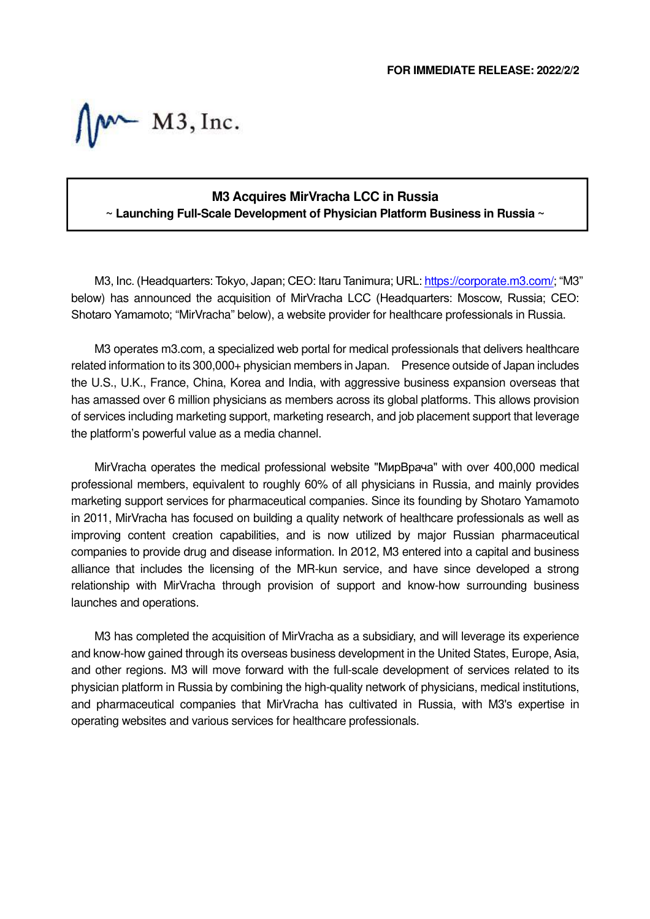$W-M3$ , Inc.

## **M3 Acquires MirVracha LCC in Russia ~ Launching Full-Scale Development of Physician Platform Business in Russia ~**

M3, Inc. (Headquarters: Tokyo, Japan; CEO: Itaru Tanimura; URL: https://corporate.m3.com/; "M3" below) has announced the acquisition of MirVracha LCC (Headquarters: Moscow, Russia; CEO: Shotaro Yamamoto; "MirVracha" below), a website provider for healthcare professionals in Russia.

M3 operates m3.com, a specialized web portal for medical professionals that delivers healthcare related information to its 300,000+ physician members in Japan. Presence outside of Japan includes the U.S., U.K., France, China, Korea and India, with aggressive business expansion overseas that has amassed over 6 million physicians as members across its global platforms. This allows provision of services including marketing support, marketing research, and job placement support that leverage the platform's powerful value as a media channel.

MirVracha operates the medical professional website "МирВрача" with over 400,000 medical professional members, equivalent to roughly 60% of all physicians in Russia, and mainly provides marketing support services for pharmaceutical companies. Since its founding by Shotaro Yamamoto in 2011, MirVracha has focused on building a quality network of healthcare professionals as well as improving content creation capabilities, and is now utilized by major Russian pharmaceutical companies to provide drug and disease information. In 2012, M3 entered into a capital and business alliance that includes the licensing of the MR-kun service, and have since developed a strong relationship with MirVracha through provision of support and know-how surrounding business launches and operations.

M3 has completed the acquisition of MirVracha as a subsidiary, and will leverage its experience and know-how gained through its overseas business development in the United States, Europe, Asia, and other regions. M3 will move forward with the full-scale development of services related to its physician platform in Russia by combining the high-quality network of physicians, medical institutions, and pharmaceutical companies that MirVracha has cultivated in Russia, with M3's expertise in operating websites and various services for healthcare professionals.